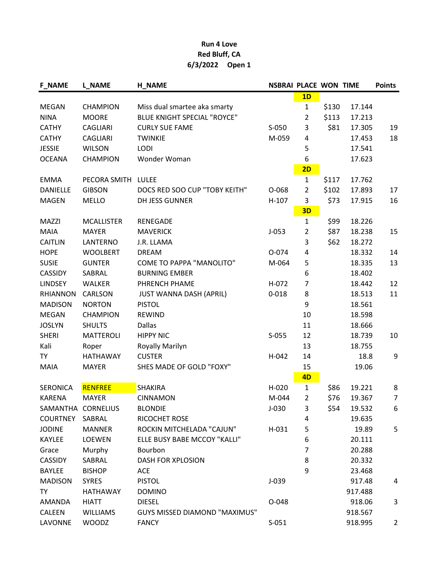## Run 4 Love Red Bluff, CA 6/3/2022 Open 1

| <b>F_NAME</b>      | <b>L_NAME</b>     | <b>H_NAME</b>                        | <b>NSBRAI PLACE WON TIME</b> |                |       |         | <b>Points</b>  |
|--------------------|-------------------|--------------------------------------|------------------------------|----------------|-------|---------|----------------|
|                    |                   |                                      |                              | 1D             |       |         |                |
| <b>MEGAN</b>       | <b>CHAMPION</b>   | Miss dual smartee aka smarty         |                              | $\mathbf{1}$   | \$130 | 17.144  |                |
| <b>NINA</b>        | <b>MOORE</b>      | <b>BLUE KNIGHT SPECIAL "ROYCE"</b>   |                              | $\overline{2}$ | \$113 | 17.213  |                |
| <b>CATHY</b>       | <b>CAGLIARI</b>   | <b>CURLY SUE FAME</b>                | $S-050$                      | 3              | \$81  | 17.305  | 19             |
| <b>CATHY</b>       | <b>CAGLIARI</b>   | <b>TWINKIE</b>                       | M-059                        | 4              |       | 17.453  | 18             |
| <b>JESSIE</b>      | <b>WILSON</b>     | <b>LODI</b>                          |                              | 5              |       | 17.541  |                |
| <b>OCEANA</b>      | <b>CHAMPION</b>   | Wonder Woman                         |                              | 6              |       | 17.623  |                |
|                    |                   |                                      |                              | 2D             |       |         |                |
| <b>EMMA</b>        | PECORA SMITH      | <b>LULEE</b>                         |                              | 1              | \$117 | 17.762  |                |
| <b>DANIELLE</b>    | <b>GIBSON</b>     | DOCS RED SOO CUP "TOBY KEITH"        | O-068                        | $\overline{2}$ | \$102 | 17.893  | 17             |
| <b>MAGEN</b>       | <b>MELLO</b>      | DH JESS GUNNER                       | $H-107$                      | 3              | \$73  | 17.915  | 16             |
|                    |                   |                                      |                              | 3D             |       |         |                |
| <b>MAZZI</b>       | <b>MCALLISTER</b> | <b>RENEGADE</b>                      |                              | $\mathbf{1}$   | \$99  | 18.226  |                |
| <b>MAIA</b>        | <b>MAYER</b>      | <b>MAVERICK</b>                      | $J-053$                      | $\overline{2}$ | \$87  | 18.238  | 15             |
| <b>CAITLIN</b>     | LANTERNO          | J.R. LLAMA                           |                              | 3              | \$62  | 18.272  |                |
| <b>HOPE</b>        | <b>WOOLBERT</b>   | <b>DREAM</b>                         | O-074                        | 4              |       | 18.332  | 14             |
| <b>SUSIE</b>       | <b>GUNTER</b>     | <b>COME TO PAPPA "MANOLITO"</b>      | M-064                        | 5              |       | 18.335  | 13             |
| <b>CASSIDY</b>     | SABRAL            | <b>BURNING EMBER</b>                 |                              | 6              |       | 18.402  |                |
| <b>LINDSEY</b>     | <b>WALKER</b>     | PHRENCH PHAME                        | H-072                        | 7              |       | 18.442  | 12             |
| <b>RHIANNON</b>    | CARLSON           | <b>JUST WANNA DASH (APRIL)</b>       | $0 - 018$                    | 8              |       | 18.513  | 11             |
| <b>MADISON</b>     | <b>NORTON</b>     | <b>PISTOL</b>                        |                              | 9              |       | 18.561  |                |
| <b>MEGAN</b>       | <b>CHAMPION</b>   | <b>REWIND</b>                        |                              | 10             |       | 18.598  |                |
| <b>JOSLYN</b>      | <b>SHULTS</b>     | <b>Dallas</b>                        |                              | 11             |       | 18.666  |                |
| <b>SHERI</b>       | <b>MATTEROLI</b>  | <b>HIPPY NIC</b>                     | $S-055$                      | 12             |       | 18.739  | 10             |
| Kali               | Roper             | Royally Marilyn                      |                              | 13             |       | 18.755  |                |
| TΥ                 | <b>HATHAWAY</b>   | <b>CUSTER</b>                        | H-042                        | 14             |       | 18.8    | 9              |
| <b>MAIA</b>        | <b>MAYER</b>      | SHES MADE OF GOLD "FOXY"             |                              | 15             |       | 19.06   |                |
|                    |                   |                                      |                              | 4D             |       |         |                |
| <b>SERONICA</b>    | <b>RENFREE</b>    | <b>SHAKIRA</b>                       | H-020                        | $\mathbf{1}$   | \$86  | 19.221  | 8              |
| <b>KARENA</b>      | <b>MAYER</b>      | <b>CINNAMON</b>                      | M-044                        | $\overline{2}$ | \$76  | 19.367  | 7              |
| SAMANTHA CORNELIUS |                   | <b>BLONDIE</b>                       | $J-030$                      | 3              | \$54  | 19.532  | 6              |
| <b>COURTNEY</b>    | SABRAL            | RICOCHET ROSE                        |                              | 4              |       | 19.635  |                |
| <b>JODINE</b>      | <b>MANNER</b>     | ROCKIN MITCHELADA "CAJUN"            | H-031                        | 5              |       | 19.89   | 5              |
| KAYLEE             | <b>LOEWEN</b>     | ELLE BUSY BABE MCCOY "KALLI"         |                              | 6              |       | 20.111  |                |
| Grace              | Murphy            | Bourbon                              |                              | $\overline{7}$ |       | 20.288  |                |
| <b>CASSIDY</b>     | SABRAL            | DASH FOR XPLOSION                    |                              | 8              |       | 20.332  |                |
| <b>BAYLEE</b>      | <b>BISHOP</b>     | ACE                                  |                              | 9              |       | 23.468  |                |
| <b>MADISON</b>     | <b>SYRES</b>      | <b>PISTOL</b>                        | $J-039$                      |                |       | 917.48  | 4              |
| <b>TY</b>          | <b>HATHAWAY</b>   | <b>DOMINO</b>                        |                              |                |       | 917.488 |                |
| AMANDA             | <b>HIATT</b>      | <b>DIESEL</b>                        | O-048                        |                |       | 918.06  | 3              |
| CALEEN             | <b>WILLIAMS</b>   | <b>GUYS MISSED DIAMOND "MAXIMUS"</b> |                              |                |       | 918.567 |                |
| LAVONNE            | <b>WOODZ</b>      | <b>FANCY</b>                         | $S-051$                      |                |       | 918.995 | $\overline{2}$ |